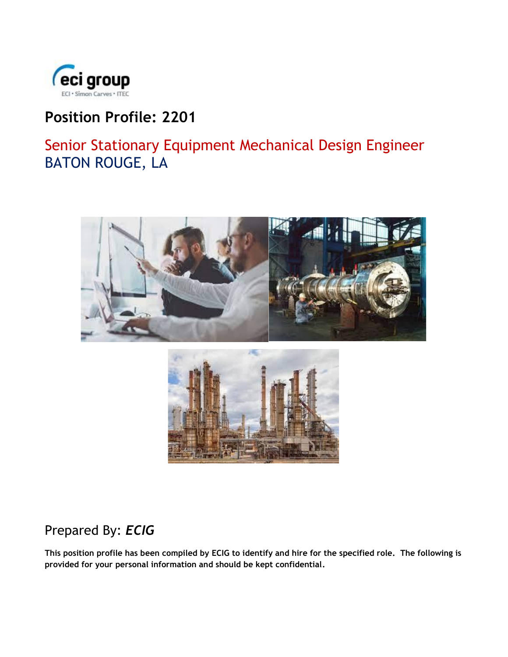

# **Position Profile: 2201**

Senior Stationary Equipment Mechanical Design Engineer BATON ROUGE, LA



## Prepared By: *ECIG*

**This position profile has been compiled by ECIG to identify and hire for the specified role. The following is provided for your personal information and should be kept confidential.**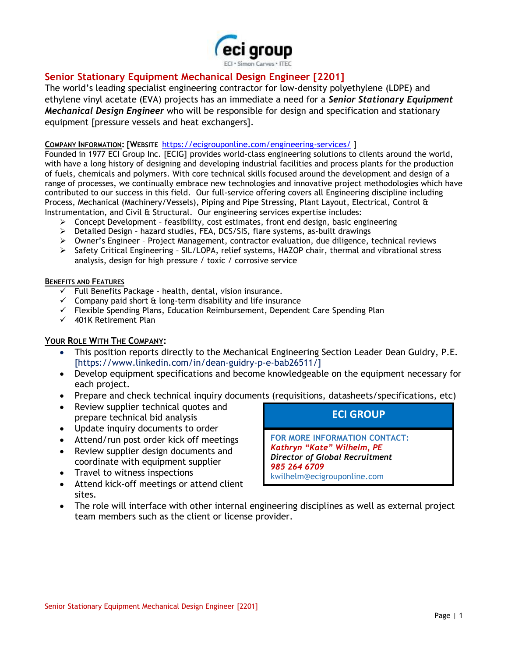

## **Senior Stationary Equipment Mechanical Design Engineer [2201]**

The world's leading specialist engineering contractor for low-density polyethylene (LDPE) and ethylene vinyl acetate (EVA) projects has an immediate a need for a *Senior Stationary Equipment Mechanical Design Engineer* who will be responsible for design and specification and stationary equipment [pressure vessels and heat exchangers].

#### **COMPANY INFORMATION: [WEBSITE** <https://ecigrouponline.com/engineering-services/> ]

Founded in 1977 ECI Group Inc. [ECIG] provides world-class engineering solutions to clients around the world, with have a long history of designing and developing industrial facilities and process plants for the production of fuels, chemicals and polymers. With core technical skills focused around the development and design of a range of processes, we continually embrace new technologies and innovative project methodologies which have contributed to our success in this field. Our full-service offering covers all Engineering discipline including Process, Mechanical (Machinery/Vessels), Piping and Pipe Stressing, Plant Layout, Electrical, Control & Instrumentation, and Civil & Structural. Our engineering services expertise includes:

- ➢ Concept Development feasibility, cost estimates, front end design, basic engineering
- ➢ Detailed Design hazard studies, FEA, DCS/SIS, flare systems, as-built drawings
- ➢ Owner's Engineer Project Management, contractor evaluation, due diligence, technical reviews
- ➢ Safety Critical Engineering SIL/LOPA, relief systems, HAZOP chair, thermal and vibrational stress analysis, design for high pressure / toxic / corrosive service

#### **BENEFITS AND FEATURES**

- $\checkmark$  Full Benefits Package health, dental, vision insurance.
- $\checkmark$  Company paid short  $\hat{\alpha}$  long-term disability and life insurance
- ✓ Flexible Spending Plans, Education Reimbursement, Dependent Care Spending Plan
- ✓ 401K Retirement Plan

#### **YOUR ROLE WITH THE COMPANY:**

- This position reports directly to the Mechanical Engineering Section Leader Dean Guidry, P.E. [https://www.linkedin.com/in/dean-guidry-p-e-bab26511/]
- Develop equipment specifications and become knowledgeable on the equipment necessary for each project.
- Prepare and check technical inquiry documents (requisitions, datasheets/specifications, etc)
- Review supplier technical quotes and prepare technical bid analysis
- Update inquiry documents to order
- Attend/run post order kick off meetings
- Review supplier design documents and coordinate with equipment supplier
- Travel to witness inspections
- Attend kick-off meetings or attend client sites.
- The role will interface with other internal engineering disciplines as well as external project team members such as the client or license provider.

### **ECI GROUP**

**FOR MORE INFORMATION CONTACT:** *Kathryn "Kate" Wilhelm, PE Director of Global Recruitment 985 264 6709* kwilhelm@ecigrouponline.com